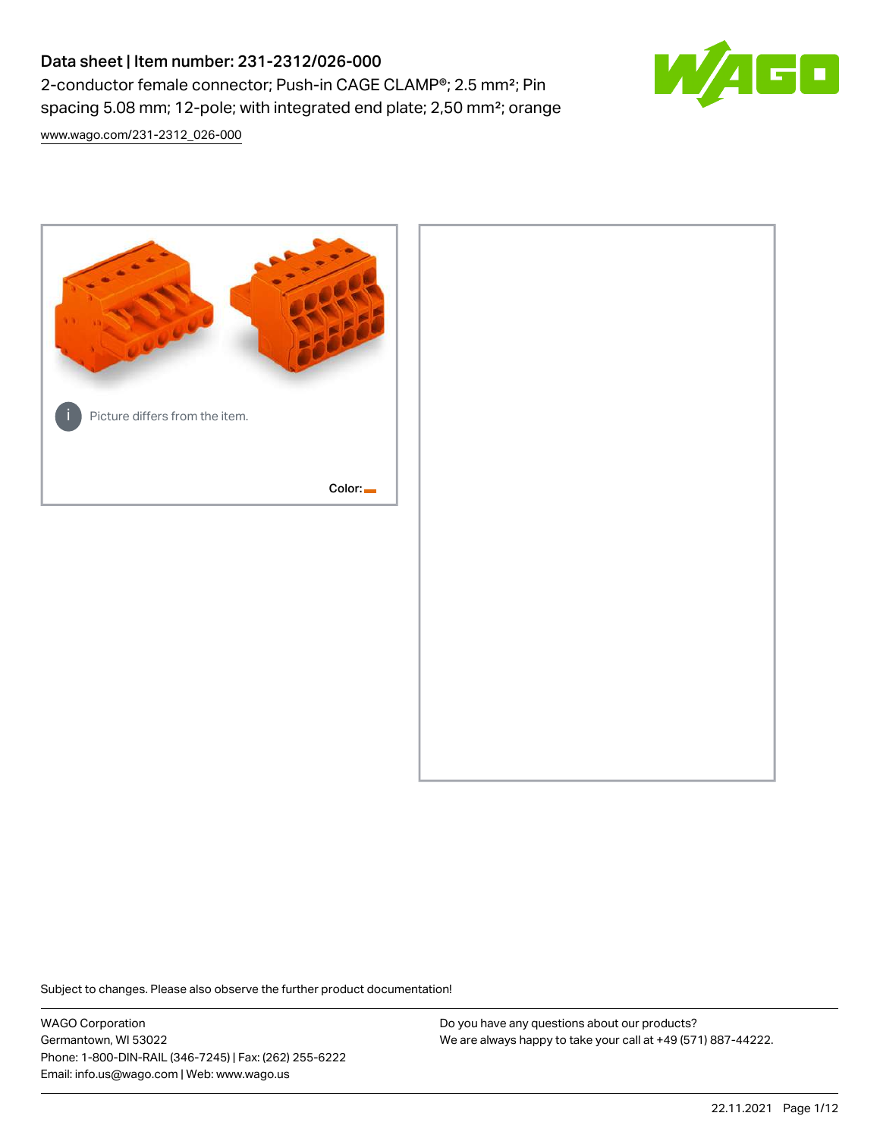# Data sheet | Item number: 231-2312/026-000 2-conductor female connector; Push-in CAGE CLAMP®; 2.5 mm²; Pin spacing 5.08 mm; 12-pole; with integrated end plate; 2,50 mm²; orange

[www.wago.com/231-2312\\_026-000](http://www.wago.com/231-2312_026-000)



Subject to changes. Please also observe the further product documentation!

WAGO Corporation Germantown, WI 53022 Phone: 1-800-DIN-RAIL (346-7245) | Fax: (262) 255-6222 Email: info.us@wago.com | Web: www.wago.us

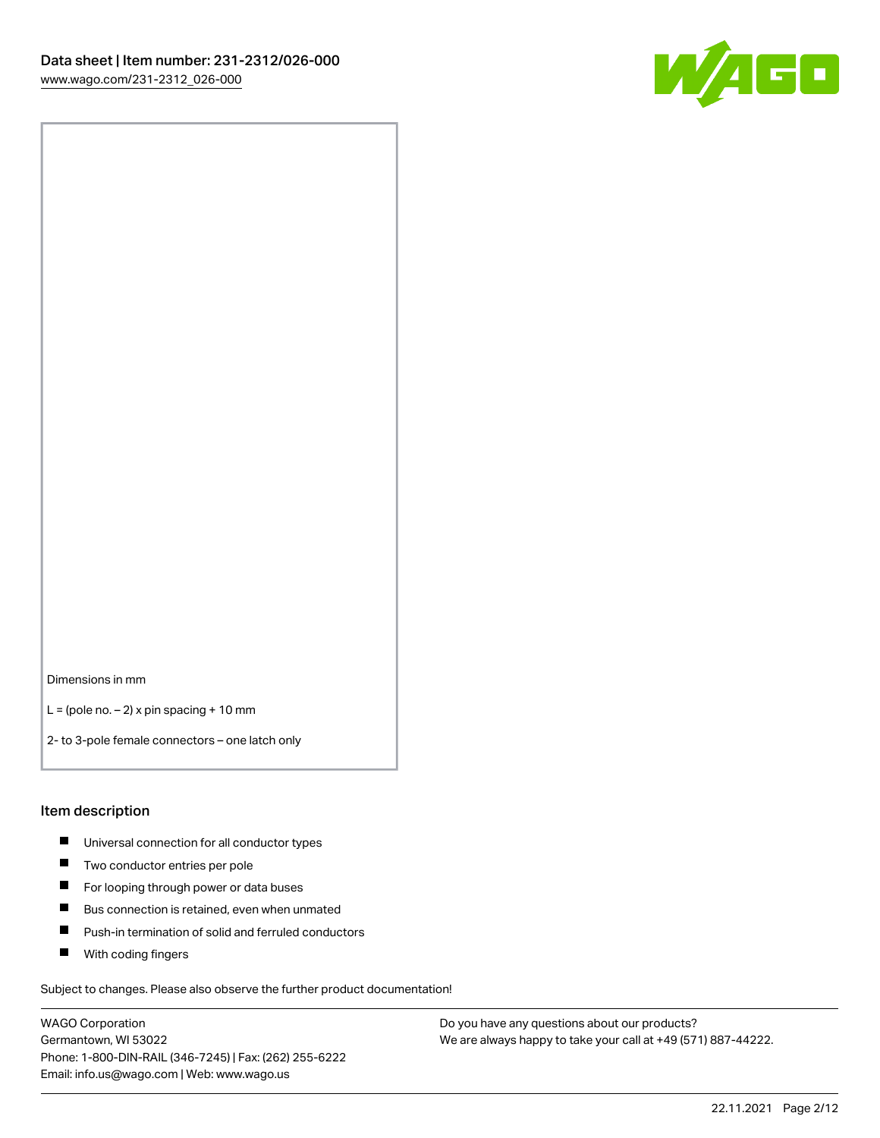

Dimensions in mm

 $L =$  (pole no.  $-2$ ) x pin spacing + 10 mm

2- to 3-pole female connectors – one latch only

#### Item description

- **Universal connection for all conductor types**
- **Two conductor entries per pole**
- $\blacksquare$ For looping through power or data buses
- $\blacksquare$ Bus connection is retained, even when unmated
- $\blacksquare$ Push-in termination of solid and ferruled conductors
- $\blacksquare$ With coding fingers

Subject to changes. Please also observe the further product documentation!

WAGO Corporation Germantown, WI 53022 Phone: 1-800-DIN-RAIL (346-7245) | Fax: (262) 255-6222 Email: info.us@wago.com | Web: www.wago.us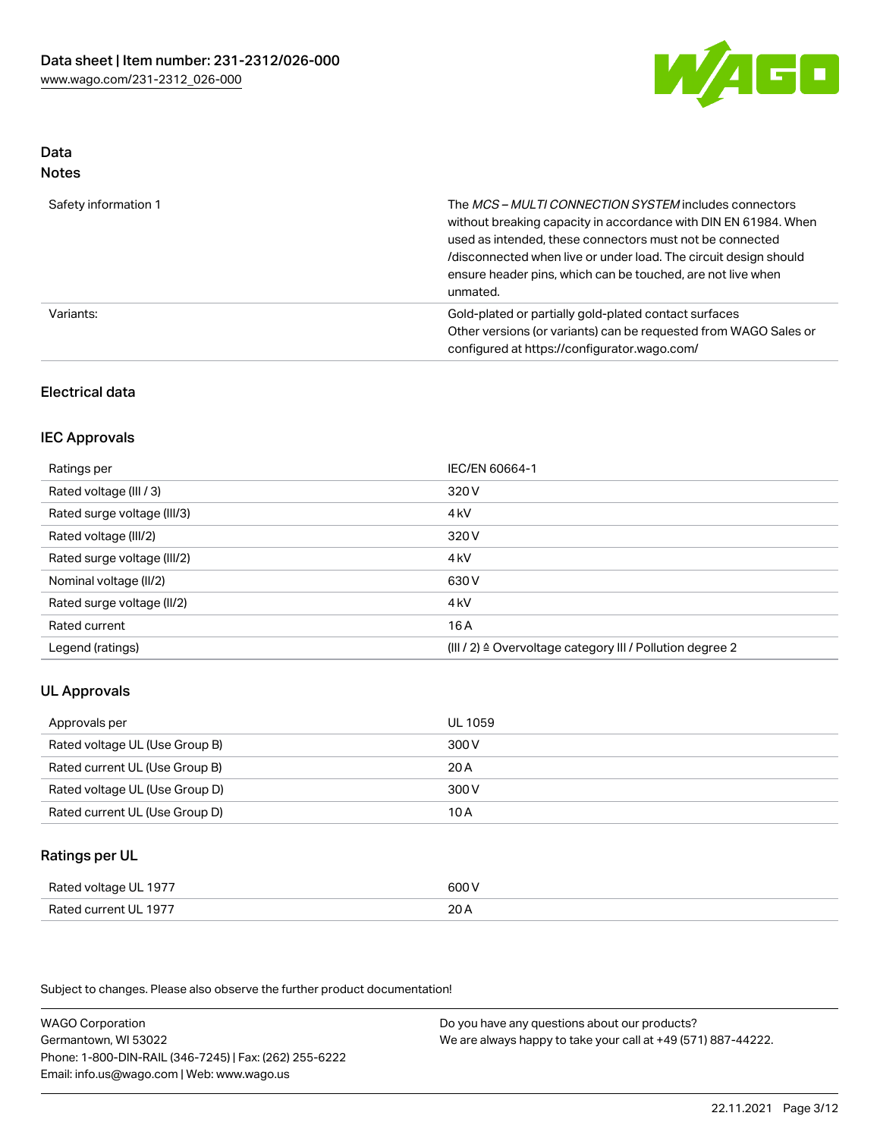

#### Data Notes

| .                    |                                                                                                                                                                                                                                                                                                                                   |
|----------------------|-----------------------------------------------------------------------------------------------------------------------------------------------------------------------------------------------------------------------------------------------------------------------------------------------------------------------------------|
| Safety information 1 | The MCS-MULTI CONNECTION SYSTEM includes connectors<br>without breaking capacity in accordance with DIN EN 61984. When<br>used as intended, these connectors must not be connected<br>/disconnected when live or under load. The circuit design should<br>ensure header pins, which can be touched, are not live when<br>unmated. |
| Variants:            | Gold-plated or partially gold-plated contact surfaces<br>Other versions (or variants) can be requested from WAGO Sales or<br>configured at https://configurator.wago.com/                                                                                                                                                         |

### Electrical data

### IEC Approvals

| Ratings per                 | IEC/EN 60664-1                                                        |
|-----------------------------|-----------------------------------------------------------------------|
| Rated voltage (III / 3)     | 320 V                                                                 |
| Rated surge voltage (III/3) | 4 <sub>k</sub> V                                                      |
| Rated voltage (III/2)       | 320 V                                                                 |
| Rated surge voltage (III/2) | 4 <sub>k</sub> V                                                      |
| Nominal voltage (II/2)      | 630 V                                                                 |
| Rated surge voltage (II/2)  | 4 <sub>k</sub> V                                                      |
| Rated current               | 16A                                                                   |
| Legend (ratings)            | $(III / 2)$ $\triangle$ Overvoltage category III / Pollution degree 2 |

### UL Approvals

| Approvals per                  | UL 1059 |
|--------------------------------|---------|
| Rated voltage UL (Use Group B) | 300 V   |
| Rated current UL (Use Group B) | 20 A    |
| Rated voltage UL (Use Group D) | 300 V   |
| Rated current UL (Use Group D) | 10 A    |

#### Ratings per UL

| Rated voltage UL 1977 | 600 V |
|-----------------------|-------|
| Rated current UL 1977 | 20A   |

Subject to changes. Please also observe the further product documentation!

WAGO Corporation Germantown, WI 53022 Phone: 1-800-DIN-RAIL (346-7245) | Fax: (262) 255-6222 Email: info.us@wago.com | Web: www.wago.us Do you have any questions about our products? We are always happy to take your call at +49 (571) 887-44222.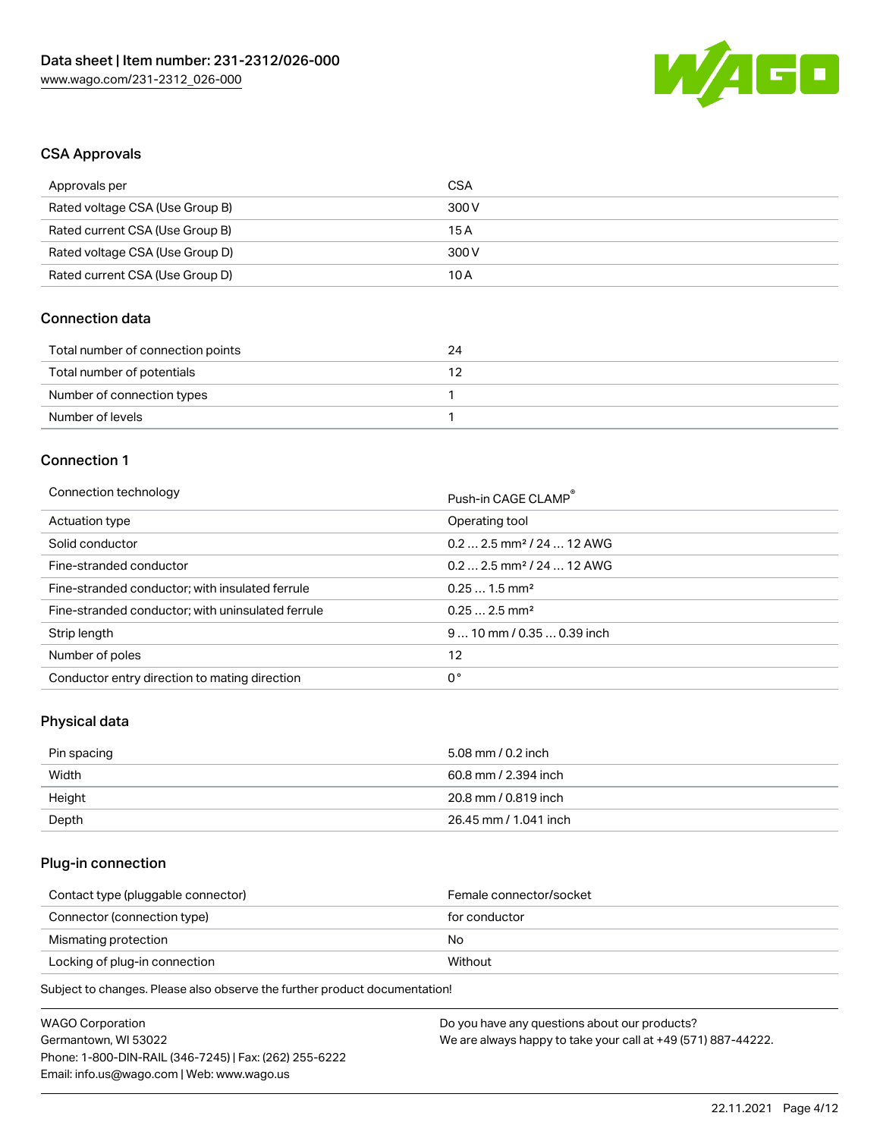

### CSA Approvals

| Approvals per                   | CSA   |
|---------------------------------|-------|
| Rated voltage CSA (Use Group B) | 300 V |
| Rated current CSA (Use Group B) | 15 A  |
| Rated voltage CSA (Use Group D) | 300 V |
| Rated current CSA (Use Group D) | 10 A  |

### Connection data

| Total number of connection points | 24 |
|-----------------------------------|----|
| Total number of potentials        |    |
| Number of connection types        |    |
| Number of levels                  |    |

### Connection 1

#### Connection technology **Push-in CAGE CLAMP<sup>®</sup>**

| ັ                                                 | Push-in CAGE CLAMP                     |
|---------------------------------------------------|----------------------------------------|
| Actuation type                                    | Operating tool                         |
| Solid conductor                                   | $0.22.5$ mm <sup>2</sup> / 24  12 AWG  |
| Fine-stranded conductor                           | $0.2$ 2.5 mm <sup>2</sup> / 24  12 AWG |
| Fine-stranded conductor; with insulated ferrule   | $0.251.5$ mm <sup>2</sup>              |
| Fine-stranded conductor; with uninsulated ferrule | $0.252.5$ mm <sup>2</sup>              |
| Strip length                                      | $910$ mm / 0.35  0.39 inch             |
| Number of poles                                   | 12                                     |
| Conductor entry direction to mating direction     | 0°                                     |

## Physical data

| Pin spacing | 5.08 mm / 0.2 inch    |
|-------------|-----------------------|
| Width       | 60.8 mm / 2.394 inch  |
| Height      | 20.8 mm / 0.819 inch  |
| Depth       | 26.45 mm / 1.041 inch |

### Plug-in connection

| Female connector/socket |
|-------------------------|
| for conductor           |
| No                      |
| Without                 |
|                         |

Subject to changes. Please also observe the further product documentation!

| <b>WAGO Corporation</b>                                | Do you have any questions about our products?                 |
|--------------------------------------------------------|---------------------------------------------------------------|
| Germantown, WI 53022                                   | We are always happy to take your call at +49 (571) 887-44222. |
| Phone: 1-800-DIN-RAIL (346-7245)   Fax: (262) 255-6222 |                                                               |
| Email: info.us@wago.com   Web: www.wago.us             |                                                               |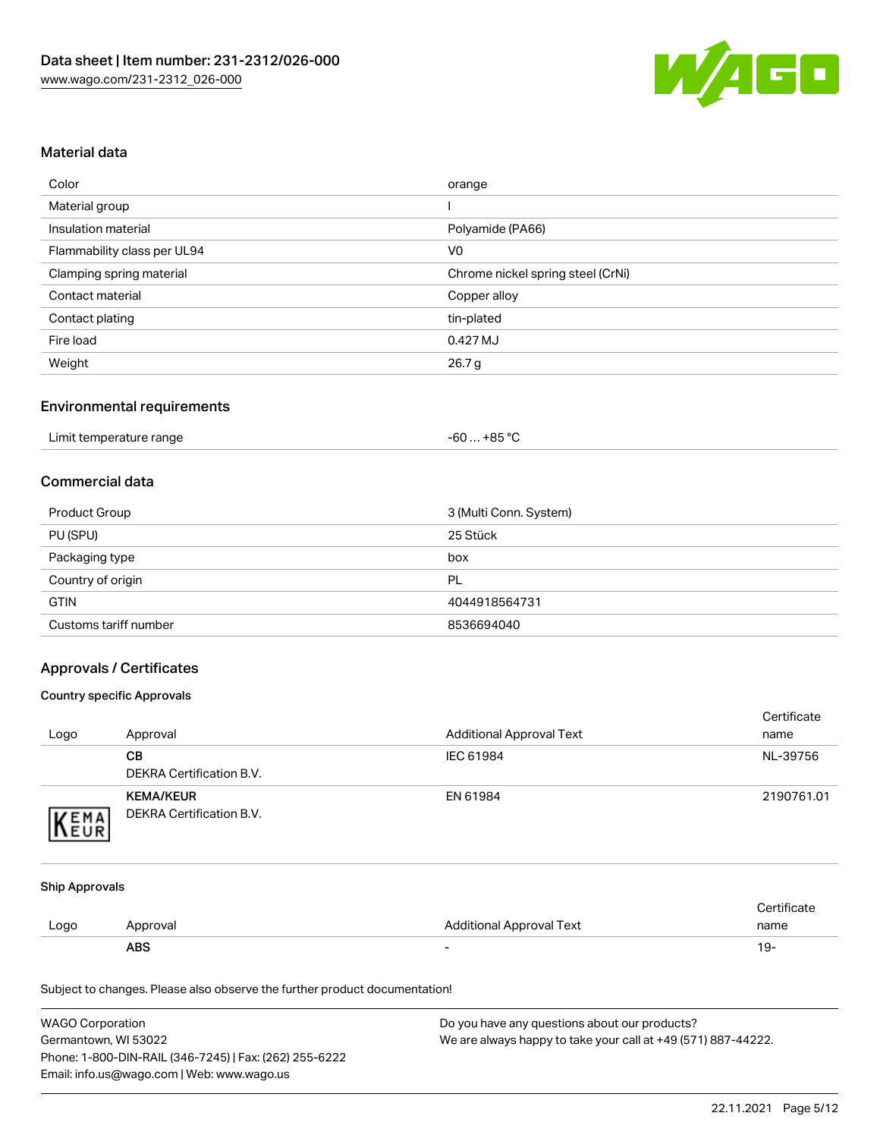

#### Material data

| Color                       | orange                            |
|-----------------------------|-----------------------------------|
| Material group              |                                   |
| Insulation material         | Polyamide (PA66)                  |
| Flammability class per UL94 | V <sub>0</sub>                    |
| Clamping spring material    | Chrome nickel spring steel (CrNi) |
| Contact material            | Copper alloy                      |
| Contact plating             | tin-plated                        |
| Fire load                   | 0.427 MJ                          |
| Weight                      | 26.7g                             |

#### Environmental requirements

| Limit temperature range<br>$+85 °C$<br>-ou |
|--------------------------------------------|
|--------------------------------------------|

### Commercial data

| <b>Product Group</b>  | 3 (Multi Conn. System) |
|-----------------------|------------------------|
| PU (SPU)              | 25 Stück               |
| Packaging type        | box                    |
| Country of origin     | PL                     |
| <b>GTIN</b>           | 4044918564731          |
| Customs tariff number | 8536694040             |

### Approvals / Certificates

#### Country specific Approvals

| Logo               | Approval                                     | <b>Additional Approval Text</b> | Certificate<br>name |
|--------------------|----------------------------------------------|---------------------------------|---------------------|
|                    | CВ<br>DEKRA Certification B.V.               | IEC 61984                       | NL-39756            |
| EMA<br><b>NEUR</b> | <b>KEMA/KEUR</b><br>DEKRA Certification B.V. | EN 61984                        | 2190761.01          |

#### Ship Approvals

|      | ABS      | -                        | ۱9۰                     |
|------|----------|--------------------------|-------------------------|
| Logo | Approval | Additional Approval Text | name                    |
|      |          |                          | ertificate <sup>2</sup> |

Subject to changes. Please also observe the further product documentation!

| <b>WAGO Corporation</b>                                | Do you have any questions about our products?                 |
|--------------------------------------------------------|---------------------------------------------------------------|
| Germantown, WI 53022                                   | We are always happy to take your call at +49 (571) 887-44222. |
| Phone: 1-800-DIN-RAIL (346-7245)   Fax: (262) 255-6222 |                                                               |
| Email: info.us@wago.com   Web: www.wago.us             |                                                               |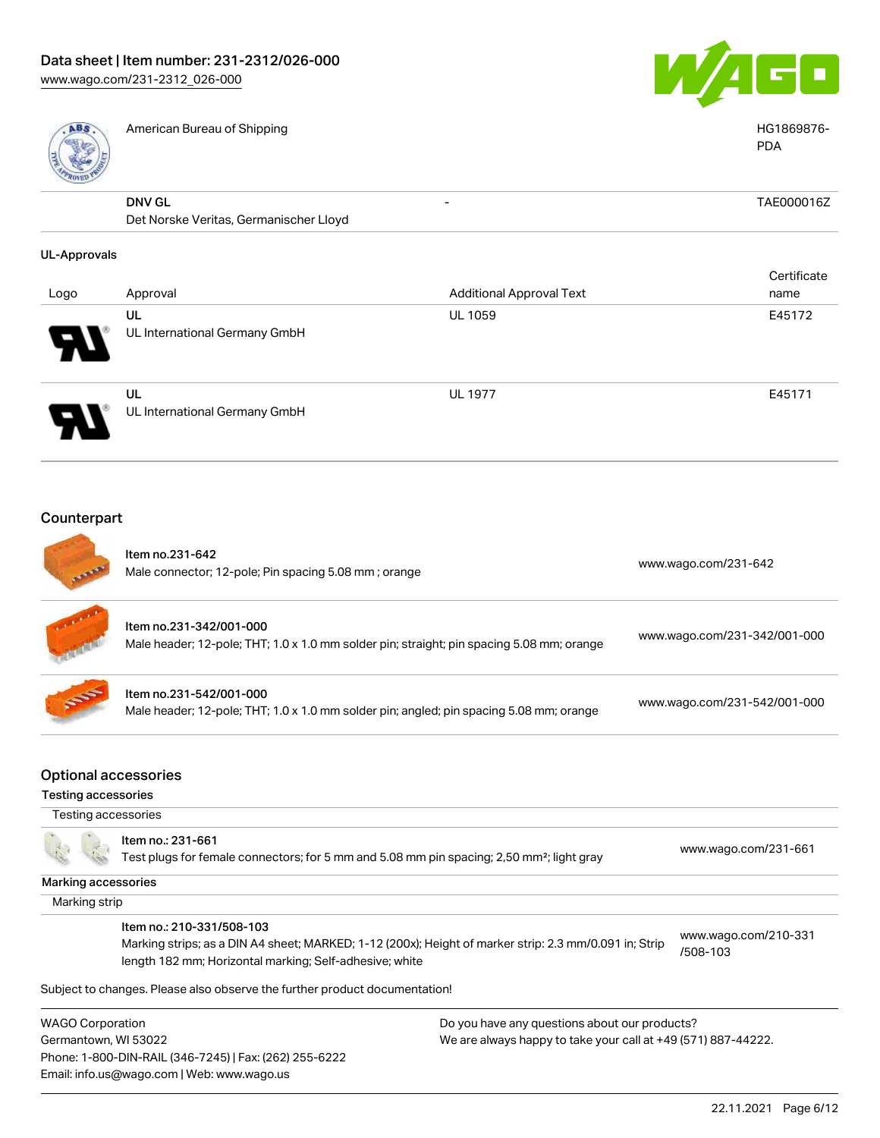

|                                                           | American Bureau of Shipping                                                                                                                                                                    |                                 | HG1869876-<br><b>PDA</b>         |
|-----------------------------------------------------------|------------------------------------------------------------------------------------------------------------------------------------------------------------------------------------------------|---------------------------------|----------------------------------|
|                                                           | <b>DNV GL</b><br>Det Norske Veritas, Germanischer Lloyd                                                                                                                                        |                                 | TAE000016Z                       |
| <b>UL-Approvals</b>                                       |                                                                                                                                                                                                |                                 |                                  |
| Logo                                                      | Approval                                                                                                                                                                                       | <b>Additional Approval Text</b> | Certificate<br>name              |
|                                                           | <b>UL</b><br>UL International Germany GmbH                                                                                                                                                     | <b>UL 1059</b>                  | E45172                           |
|                                                           | <b>UL</b><br>UL International Germany GmbH                                                                                                                                                     | <b>UL 1977</b>                  | E45171                           |
| Counterpart                                               | Item no.231-642                                                                                                                                                                                |                                 | www.wago.com/231-642             |
|                                                           | Male connector; 12-pole; Pin spacing 5.08 mm; orange                                                                                                                                           |                                 |                                  |
|                                                           | Item no.231-342/001-000<br>Male header; 12-pole; THT; 1.0 x 1.0 mm solder pin; straight; pin spacing 5.08 mm; orange                                                                           |                                 | www.wago.com/231-342/001-000     |
|                                                           | Item no.231-542/001-000<br>Male header; 12-pole; THT; 1.0 x 1.0 mm solder pin; angled; pin spacing 5.08 mm; orange                                                                             |                                 | www.wago.com/231-542/001-000     |
| <b>Optional accessories</b><br><b>Testing accessories</b> |                                                                                                                                                                                                |                                 |                                  |
| Testing accessories                                       |                                                                                                                                                                                                |                                 |                                  |
|                                                           | Item no.: 231-661<br>Test plugs for female connectors; for 5 mm and 5.08 mm pin spacing; 2,50 mm <sup>2</sup> ; light gray                                                                     |                                 | www.wago.com/231-661             |
| Marking accessories                                       |                                                                                                                                                                                                |                                 |                                  |
| Marking strip                                             |                                                                                                                                                                                                |                                 |                                  |
|                                                           | Item no.: 210-331/508-103<br>Marking strips; as a DIN A4 sheet; MARKED; 1-12 (200x); Height of marker strip: 2.3 mm/0.091 in; Strip<br>length 182 mm; Horizontal marking; Self-adhesive; white |                                 | www.wago.com/210-331<br>/508-103 |
|                                                           | Subject to changes. Please also observe the further product documentation!                                                                                                                     |                                 |                                  |

WAGO Corporation Germantown, WI 53022 Phone: 1-800-DIN-RAIL (346-7245) | Fax: (262) 255-6222 Email: info.us@wago.com | Web: www.wago.us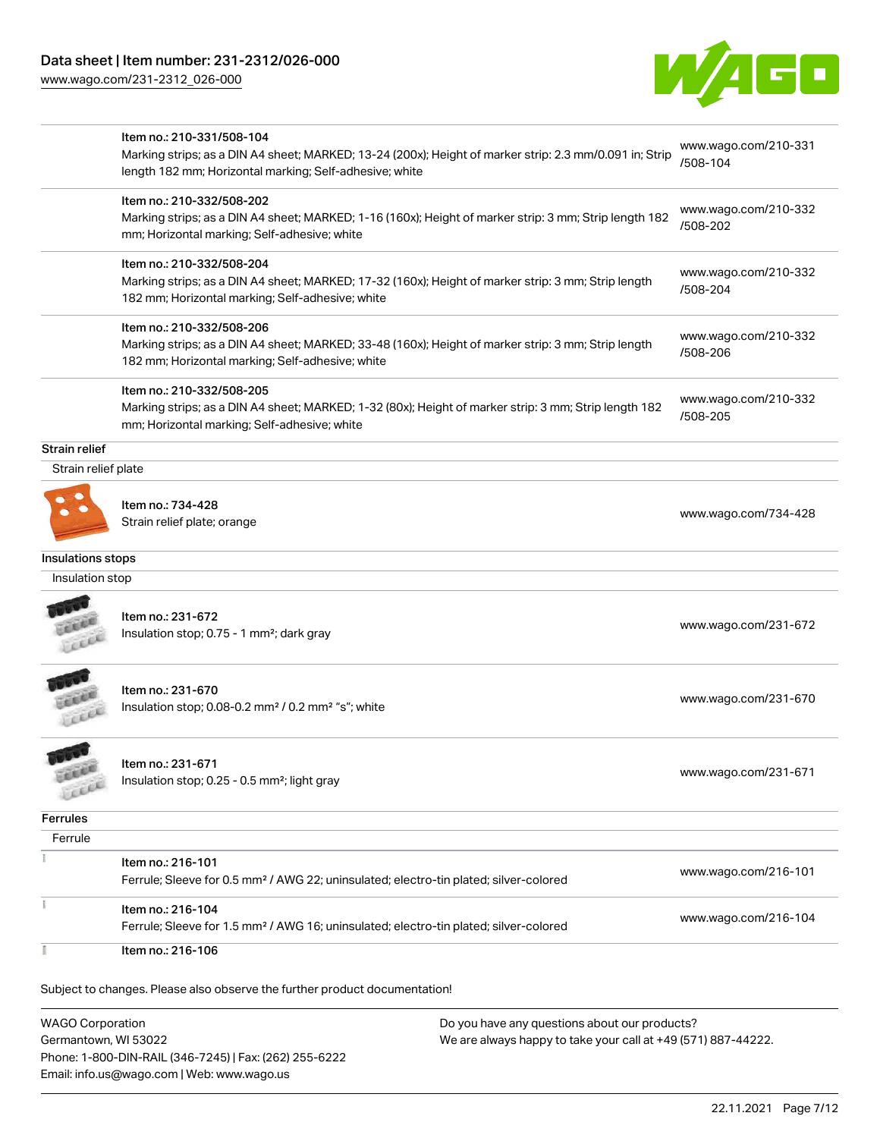[www.wago.com/231-2312\\_026-000](http://www.wago.com/231-2312_026-000)



|                         | Item no.: 210-331/508-104                                                                                                                                          | www.wago.com/210-331 |
|-------------------------|--------------------------------------------------------------------------------------------------------------------------------------------------------------------|----------------------|
|                         | Marking strips; as a DIN A4 sheet; MARKED; 13-24 (200x); Height of marker strip: 2.3 mm/0.091 in; Strip<br>length 182 mm; Horizontal marking; Self-adhesive; white | /508-104             |
|                         | Item no.: 210-332/508-202                                                                                                                                          | www.wago.com/210-332 |
|                         | Marking strips; as a DIN A4 sheet; MARKED; 1-16 (160x); Height of marker strip: 3 mm; Strip length 182<br>mm; Horizontal marking; Self-adhesive; white             | /508-202             |
|                         | Item no.: 210-332/508-204                                                                                                                                          | www.wago.com/210-332 |
|                         | Marking strips; as a DIN A4 sheet; MARKED; 17-32 (160x); Height of marker strip: 3 mm; Strip length<br>182 mm; Horizontal marking; Self-adhesive; white            | /508-204             |
|                         | Item no.: 210-332/508-206                                                                                                                                          | www.wago.com/210-332 |
|                         | Marking strips; as a DIN A4 sheet; MARKED; 33-48 (160x); Height of marker strip: 3 mm; Strip length<br>182 mm; Horizontal marking; Self-adhesive; white            | /508-206             |
|                         | Item no.: 210-332/508-205                                                                                                                                          | www.wago.com/210-332 |
|                         | Marking strips; as a DIN A4 sheet; MARKED; 1-32 (80x); Height of marker strip: 3 mm; Strip length 182<br>mm; Horizontal marking; Self-adhesive; white              | /508-205             |
| <b>Strain relief</b>    |                                                                                                                                                                    |                      |
| Strain relief plate     |                                                                                                                                                                    |                      |
|                         | Item no.: 734-428                                                                                                                                                  | www.wago.com/734-428 |
|                         | Strain relief plate; orange                                                                                                                                        |                      |
| Insulations stops       |                                                                                                                                                                    |                      |
| Insulation stop         |                                                                                                                                                                    |                      |
|                         | Item no.: 231-672                                                                                                                                                  |                      |
|                         | Insulation stop; 0.75 - 1 mm <sup>2</sup> ; dark gray                                                                                                              | www.wago.com/231-672 |
|                         | Item no.: 231-670                                                                                                                                                  |                      |
|                         | Insulation stop; 0.08-0.2 mm <sup>2</sup> / 0.2 mm <sup>2</sup> "s"; white                                                                                         | www.wago.com/231-670 |
|                         |                                                                                                                                                                    |                      |
| <b>CALL</b>             | Item no.: 231-671<br>Insulation stop; 0.25 - 0.5 mm <sup>2</sup> ; light gray                                                                                      | www.wago.com/231-671 |
| Ferrules                |                                                                                                                                                                    |                      |
| Ferrule                 |                                                                                                                                                                    |                      |
|                         | Item no.: 216-101                                                                                                                                                  | www.wago.com/216-101 |
|                         | Ferrule; Sleeve for 0.5 mm <sup>2</sup> / AWG 22; uninsulated; electro-tin plated; silver-colored                                                                  |                      |
|                         | Item no.: 216-104<br>Ferrule; Sleeve for 1.5 mm <sup>2</sup> / AWG 16; uninsulated; electro-tin plated; silver-colored                                             | www.wago.com/216-104 |
|                         | Item no.: 216-106                                                                                                                                                  |                      |
|                         | Subject to changes. Please also observe the further product documentation!                                                                                         |                      |
| <b>WAGO Corporation</b> | Do you have any questions about our products?                                                                                                                      |                      |
|                         |                                                                                                                                                                    |                      |

Germantown, WI 53022 Phone: 1-800-DIN-RAIL (346-7245) | Fax: (262) 255-6222 Email: info.us@wago.com | Web: www.wago.us

22.11.2021 Page 7/12

We are always happy to take your call at +49 (571) 887-44222.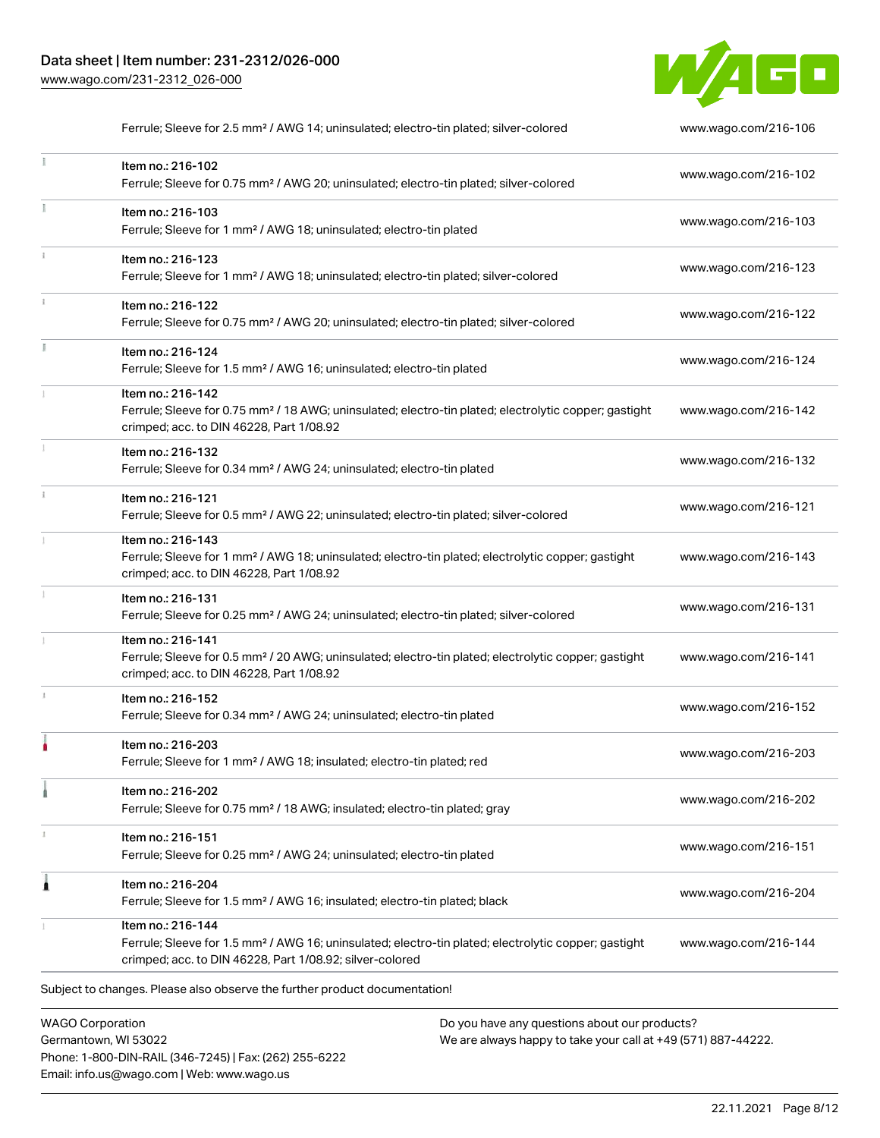

Ferrule; Sleeve for 2.5 mm² / AWG 14; uninsulated; electro-tin plated; silver-colored [www.wago.com/216-106](http://www.wago.com/216-106)  $\frac{1}{2}$ Item no.: 216-102 Ferrule; Sleeve for 0.75 mm² / AWG 20; uninsulated; electro-tin plated; silver-colored [www.wago.com/216-102](http://www.wago.com/216-102) Item no.: 216-103 Ferrule; Sleeve for 1 mm² / AWG 18; uninsulated; electro-tin plated [www.wago.com/216-103](http://www.wago.com/216-103) Item no.: 216-123 Ferrule; Sleeve for 1 mm² / AWG 18; uninsulated; electro-tin plated; silver-colored [www.wago.com/216-123](http://www.wago.com/216-123) Item no.: 216-122 Ferrule; Sleeve for 0.75 mm² / AWG 20; uninsulated; electro-tin plated; silver-colored [www.wago.com/216-122](http://www.wago.com/216-122) Item no.: 216-124 Ferrule; Sleeve for 1.5 mm² / AWG 16; uninsulated; electro-tin plated [www.wago.com/216-124](http://www.wago.com/216-124) Item no.: 216-142 Ferrule; Sleeve for 0.75 mm² / 18 AWG; uninsulated; electro-tin plated; electrolytic copper; gastight [www.wago.com/216-142](http://www.wago.com/216-142) crimped; acc. to DIN 46228, Part 1/08.92 Item no.: 216-132 Ferrule; Sleeve for 0.34 mm² / AWG 24; uninsulated; electro-tin plated [www.wago.com/216-132](http://www.wago.com/216-132) Item no.: 216-121 Ferrule; Sleeve for 0.5 mm² / AWG 22; uninsulated; electro-tin plated; silver-colored [www.wago.com/216-121](http://www.wago.com/216-121) Item no.: 216-143 Ferrule; Sleeve for 1 mm² / AWG 18; uninsulated; electro-tin plated; electrolytic copper; gastight [www.wago.com/216-143](http://www.wago.com/216-143) crimped; acc. to DIN 46228, Part 1/08.92 Item no.: 216-131 Ferrule; Sleeve for 0.25 mm² / AWG 24; uninsulated; electro-tin plated; silver-colored [www.wago.com/216-131](http://www.wago.com/216-131) Item no.: 216-141 Ferrule; Sleeve for 0.5 mm² / 20 AWG; uninsulated; electro-tin plated; electrolytic copper; gastight [www.wago.com/216-141](http://www.wago.com/216-141) crimped; acc. to DIN 46228, Part 1/08.92 Item no.: 216-152 Ferrule; Sleeve for 0.34 mm² / AWG 24; uninsulated; electro-tin plated [www.wago.com/216-152](http://www.wago.com/216-152) Item no.: 216-203 Ferrule; Sleeve for 1 mm² / AWG 18; insulated; electro-tin plated; red [www.wago.com/216-203](http://www.wago.com/216-203) Item no.: 216-202 Ferrule; Sleeve for 0.75 mm² / 18 AWG; insulated; electro-tin plated; gray [www.wago.com/216-202](http://www.wago.com/216-202) Item no.: 216-151 Ferrule; Sleeve for 0.25 mm² / AWG 24; uninsulated; electro-tin plated [www.wago.com/216-151](http://www.wago.com/216-151) Item no.: 216-204 Ferrule; Sleeve for 1.5 mm² / AWG 16; insulated; electro-tin plated; black [www.wago.com/216-204](http://www.wago.com/216-204) Item no.: 216-144 Ferrule; Sleeve for 1.5 mm² / AWG 16; uninsulated; electro-tin plated; electrolytic copper; gastight [www.wago.com/216-144](http://www.wago.com/216-144) crimped; acc. to DIN 46228, Part 1/08.92; silver-colored Subject to changes. Please also observe the further product documentation!

WAGO Corporation Germantown, WI 53022 Phone: 1-800-DIN-RAIL (346-7245) | Fax: (262) 255-6222 Email: info.us@wago.com | Web: www.wago.us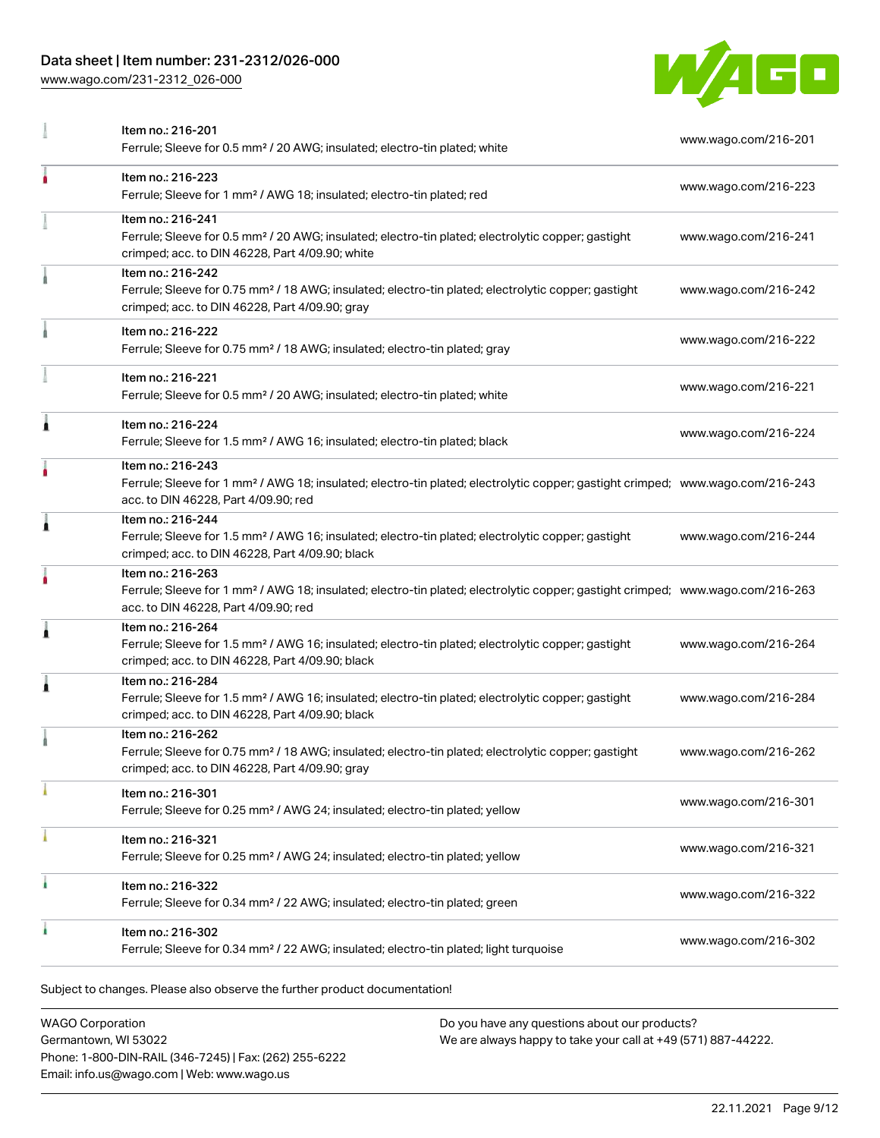### Data sheet | Item number: 231-2312/026-000

[www.wago.com/231-2312\\_026-000](http://www.wago.com/231-2312_026-000)



|   | Item no.: 216-201<br>Ferrule; Sleeve for 0.5 mm <sup>2</sup> / 20 AWG; insulated; electro-tin plated; white                                                                                             | www.wago.com/216-201 |
|---|---------------------------------------------------------------------------------------------------------------------------------------------------------------------------------------------------------|----------------------|
|   | Item no.: 216-223<br>Ferrule; Sleeve for 1 mm <sup>2</sup> / AWG 18; insulated; electro-tin plated; red                                                                                                 | www.wago.com/216-223 |
|   | Item no.: 216-241<br>Ferrule; Sleeve for 0.5 mm <sup>2</sup> / 20 AWG; insulated; electro-tin plated; electrolytic copper; gastight<br>crimped; acc. to DIN 46228, Part 4/09.90; white                  | www.wago.com/216-241 |
|   | Item no.: 216-242<br>Ferrule; Sleeve for 0.75 mm <sup>2</sup> / 18 AWG; insulated; electro-tin plated; electrolytic copper; gastight<br>crimped; acc. to DIN 46228, Part 4/09.90; gray                  | www.wago.com/216-242 |
|   | Item no.: 216-222<br>Ferrule; Sleeve for 0.75 mm <sup>2</sup> / 18 AWG; insulated; electro-tin plated; gray                                                                                             | www.wago.com/216-222 |
|   | Item no.: 216-221<br>Ferrule; Sleeve for 0.5 mm <sup>2</sup> / 20 AWG; insulated; electro-tin plated; white                                                                                             | www.wago.com/216-221 |
| Â | Item no.: 216-224<br>Ferrule; Sleeve for 1.5 mm <sup>2</sup> / AWG 16; insulated; electro-tin plated; black                                                                                             | www.wago.com/216-224 |
| ٥ | Item no.: 216-243<br>Ferrule; Sleeve for 1 mm <sup>2</sup> / AWG 18; insulated; electro-tin plated; electrolytic copper; gastight crimped; www.wago.com/216-243<br>acc. to DIN 46228, Part 4/09.90; red |                      |
| Â | Item no.: 216-244<br>Ferrule; Sleeve for 1.5 mm <sup>2</sup> / AWG 16; insulated; electro-tin plated; electrolytic copper; gastight<br>crimped; acc. to DIN 46228, Part 4/09.90; black                  | www.wago.com/216-244 |
|   | Item no.: 216-263<br>Ferrule; Sleeve for 1 mm <sup>2</sup> / AWG 18; insulated; electro-tin plated; electrolytic copper; gastight crimped; www.wago.com/216-263<br>acc. to DIN 46228, Part 4/09.90; red |                      |
| Â | Item no.: 216-264<br>Ferrule; Sleeve for 1.5 mm <sup>2</sup> / AWG 16; insulated; electro-tin plated; electrolytic copper; gastight<br>crimped; acc. to DIN 46228, Part 4/09.90; black                  | www.wago.com/216-264 |
| 1 | Item no.: 216-284<br>Ferrule; Sleeve for 1.5 mm <sup>2</sup> / AWG 16; insulated; electro-tin plated; electrolytic copper; gastight<br>crimped; acc. to DIN 46228, Part 4/09.90; black                  | www.wago.com/216-284 |
|   | Item no.: 216-262<br>Ferrule; Sleeve for 0.75 mm <sup>2</sup> / 18 AWG; insulated; electro-tin plated; electrolytic copper; gastight<br>crimped; acc. to DIN 46228, Part 4/09.90; gray                  | www.wago.com/216-262 |
|   | Item no.: 216-301<br>Ferrule; Sleeve for 0.25 mm <sup>2</sup> / AWG 24; insulated; electro-tin plated; yellow                                                                                           | www.wago.com/216-301 |
|   | Item no.: 216-321<br>Ferrule; Sleeve for 0.25 mm <sup>2</sup> / AWG 24; insulated; electro-tin plated; yellow                                                                                           | www.wago.com/216-321 |
|   | Item no.: 216-322<br>Ferrule; Sleeve for 0.34 mm <sup>2</sup> / 22 AWG; insulated; electro-tin plated; green                                                                                            | www.wago.com/216-322 |
|   | Item no.: 216-302<br>Ferrule; Sleeve for 0.34 mm <sup>2</sup> / 22 AWG; insulated; electro-tin plated; light turquoise                                                                                  | www.wago.com/216-302 |

WAGO Corporation Germantown, WI 53022 Phone: 1-800-DIN-RAIL (346-7245) | Fax: (262) 255-6222 Email: info.us@wago.com | Web: www.wago.us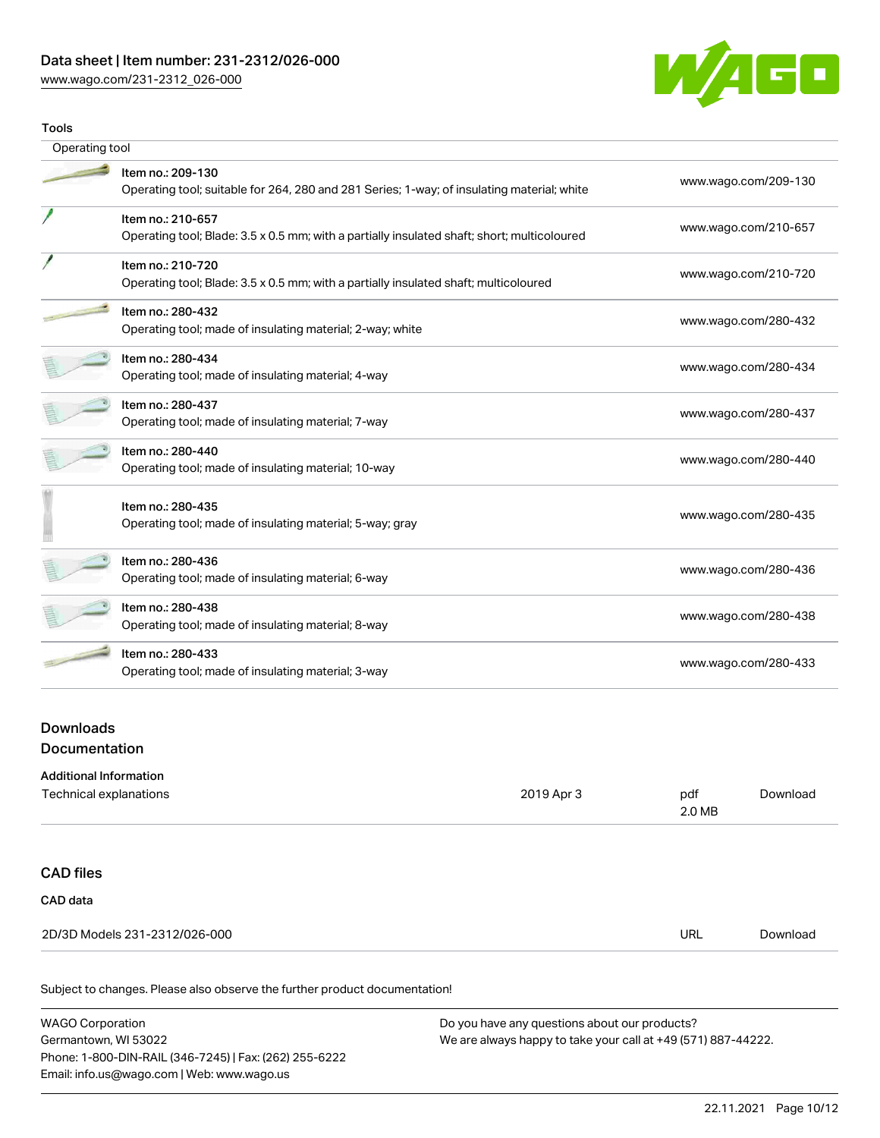### Data sheet | Item number: 231-2312/026-000

[www.wago.com/231-2312\\_026-000](http://www.wago.com/231-2312_026-000)



| Tools |                                                                                                                  |                      |  |  |  |
|-------|------------------------------------------------------------------------------------------------------------------|----------------------|--|--|--|
|       | Operating tool                                                                                                   |                      |  |  |  |
|       | Item no.: 209-130<br>Operating tool; suitable for 264, 280 and 281 Series; 1-way; of insulating material; white  | www.wago.com/209-130 |  |  |  |
|       | Item no.: 210-657<br>Operating tool; Blade: 3.5 x 0.5 mm; with a partially insulated shaft; short; multicoloured | www.wago.com/210-657 |  |  |  |
|       | Item no.: 210-720<br>Operating tool; Blade: 3.5 x 0.5 mm; with a partially insulated shaft; multicoloured        | www.wago.com/210-720 |  |  |  |
|       | Item no.: 280-432<br>Operating tool; made of insulating material; 2-way; white                                   | www.wago.com/280-432 |  |  |  |
|       | Item no.: 280-434<br>Operating tool; made of insulating material; 4-way                                          | www.wago.com/280-434 |  |  |  |
|       | Item no.: 280-437<br>Operating tool; made of insulating material; 7-way                                          | www.wago.com/280-437 |  |  |  |
|       | Item no.: 280-440<br>Operating tool; made of insulating material; 10-way                                         | www.wago.com/280-440 |  |  |  |
|       | Item no.: 280-435<br>Operating tool; made of insulating material; 5-way; gray                                    | www.wago.com/280-435 |  |  |  |
|       | Item no.: 280-436<br>Operating tool; made of insulating material; 6-way                                          | www.wago.com/280-436 |  |  |  |
|       | Item no.: 280-438<br>Operating tool; made of insulating material; 8-way                                          | www.wago.com/280-438 |  |  |  |
|       | Item no.: 280-433<br>Operating tool; made of insulating material; 3-way                                          | www.wago.com/280-433 |  |  |  |

### Downloads **Documentation**

| <b>Additional Information</b> |            |               |          |
|-------------------------------|------------|---------------|----------|
| Technical explanations        | 2019 Apr 3 | pdf<br>2.0 MB | Download |
|                               |            |               |          |
| <b>CAD files</b>              |            |               |          |
| CAD data                      |            |               |          |
| 2D/3D Models 231-2312/026-000 |            | URL           | Download |
|                               |            |               |          |

Subject to changes. Please also observe the further product documentation!

WAGO Corporation Germantown, WI 53022 Phone: 1-800-DIN-RAIL (346-7245) | Fax: (262) 255-6222 Email: info.us@wago.com | Web: www.wago.us Do you have any questions about our products? We are always happy to take your call at +49 (571) 887-44222.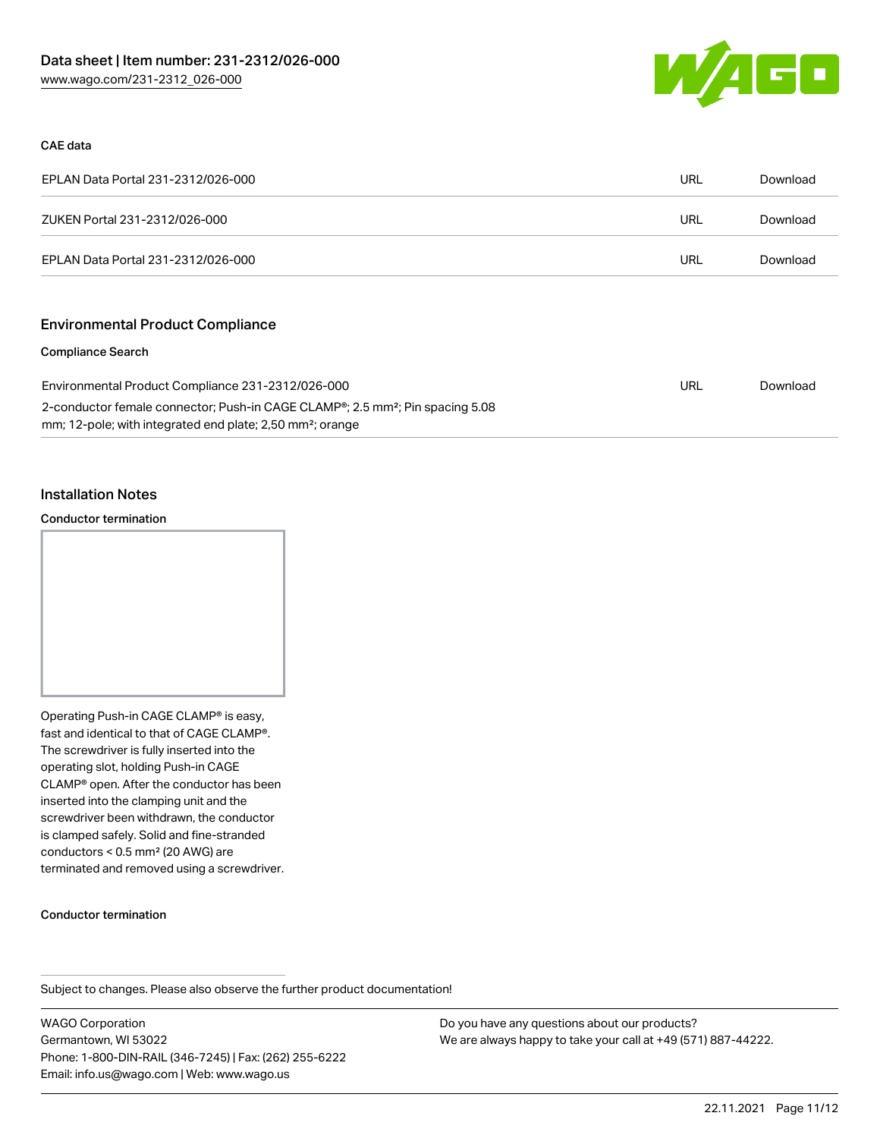

#### CAE data

| EPLAN Data Portal 231-2312/026-000 | URL | Download |
|------------------------------------|-----|----------|
| ZUKEN Portal 231-2312/026-000      | URL | Download |
| EPLAN Data Portal 231-2312/026-000 | URL | Download |

#### Environmental Product Compliance

#### Compliance Search

| Environmental Product Compliance 231-2312/026-000                                                      | URL | Download |
|--------------------------------------------------------------------------------------------------------|-----|----------|
| 2-conductor female connector; Push-in CAGE CLAMP <sup>®</sup> ; 2.5 mm <sup>2</sup> ; Pin spacing 5.08 |     |          |
| mm; 12-pole; with integrated end plate; 2,50 mm <sup>2</sup> ; orange                                  |     |          |

#### Installation Notes

#### Conductor termination



Operating Push-in CAGE CLAMP® is easy, fast and identical to that of CAGE CLAMP®. The screwdriver is fully inserted into the operating slot, holding Push-in CAGE CLAMP® open. After the conductor has been inserted into the clamping unit and the screwdriver been withdrawn, the conductor is clamped safely. Solid and fine-stranded conductors < 0.5 mm² (20 AWG) are terminated and removed using a screwdriver.

#### Conductor termination

Subject to changes. Please also observe the further product documentation!

WAGO Corporation Germantown, WI 53022 Phone: 1-800-DIN-RAIL (346-7245) | Fax: (262) 255-6222 Email: info.us@wago.com | Web: www.wago.us